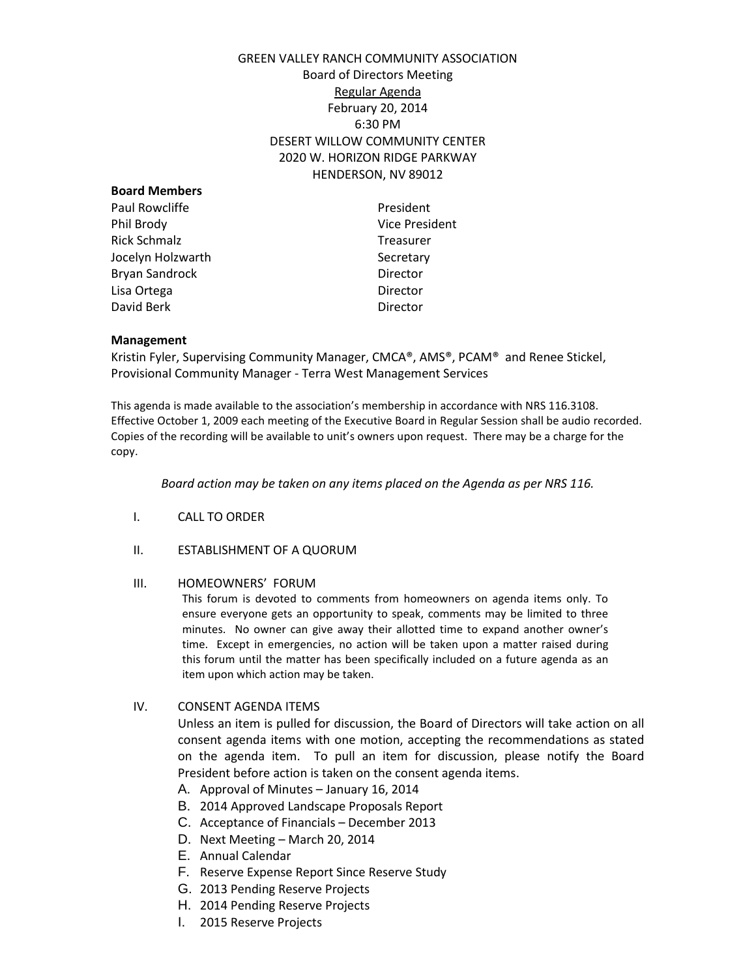# GREEN VALLEY RANCH COMMUNITY ASSOCIATION Board of Directors Meeting Regular Agenda February 20, 2014 6:30 PM DESERT WILLOW COMMUNITY CENTER 2020 W. HORIZON RIDGE PARKWAY HENDERSON, NV 89012

| <b>Board Members</b> |                |
|----------------------|----------------|
| Paul Rowcliffe       | President      |
| Phil Brody           | Vice President |
| <b>Rick Schmalz</b>  | Treasurer      |
| Jocelyn Holzwarth    | Secretary      |
| Bryan Sandrock       | Director       |
| Lisa Ortega          | Director       |
| David Berk           | Director       |
|                      |                |

### **Management**

Kristin Fyler, Supervising Community Manager, CMCA®, AMS®, PCAM® and Renee Stickel, Provisional Community Manager - Terra West Management Services

This agenda is made available to the association's membership in accordance with NRS 116.3108. Effective October 1, 2009 each meeting of the Executive Board in Regular Session shall be audio recorded. Copies of the recording will be available to unit's owners upon request. There may be a charge for the copy.

*Board action may be taken on any items placed on the Agenda as per NRS 116.* 

- I. CALL TO ORDER
- II. ESTABLISHMENT OF A QUORUM

#### III. HOMEOWNERS' FORUM

This forum is devoted to comments from homeowners on agenda items only. To ensure everyone gets an opportunity to speak, comments may be limited to three minutes. No owner can give away their allotted time to expand another owner's time. Except in emergencies, no action will be taken upon a matter raised during this forum until the matter has been specifically included on a future agenda as an item upon which action may be taken.

IV. CONSENT AGENDA ITEMS

Unless an item is pulled for discussion, the Board of Directors will take action on all consent agenda items with one motion, accepting the recommendations as stated on the agenda item. To pull an item for discussion, please notify the Board President before action is taken on the consent agenda items.

- A. Approval of Minutes January 16, 2014
- B. 2014 Approved Landscape Proposals Report
- C. Acceptance of Financials December 2013
- D. Next Meeting March 20, 2014
- E. Annual Calendar
- F. Reserve Expense Report Since Reserve Study
- G. 2013 Pending Reserve Projects
- H. 2014 Pending Reserve Projects
- I. 2015 Reserve Projects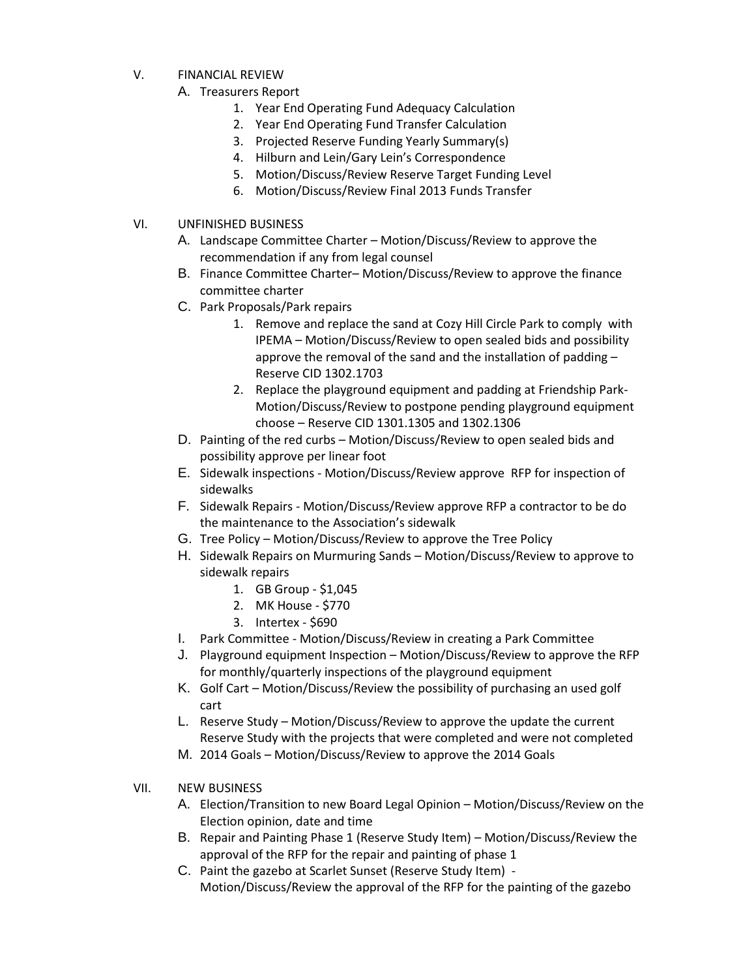- V. FINANCIAL REVIEW
	- A. Treasurers Report
		- 1. Year End Operating Fund Adequacy Calculation
		- 2. Year End Operating Fund Transfer Calculation
		- 3. Projected Reserve Funding Yearly Summary(s)
		- 4. Hilburn and Lein/Gary Lein's Correspondence
		- 5. Motion/Discuss/Review Reserve Target Funding Level
		- 6. Motion/Discuss/Review Final 2013 Funds Transfer
- VI. UNFINISHED BUSINESS
	- A. Landscape Committee Charter Motion/Discuss/Review to approve the recommendation if any from legal counsel
	- B. Finance Committee Charter– Motion/Discuss/Review to approve the finance committee charter
	- C. Park Proposals/Park repairs
		- 1. Remove and replace the sand at Cozy Hill Circle Park to comply with IPEMA – Motion/Discuss/Review to open sealed bids and possibility approve the removal of the sand and the installation of padding – Reserve CID 1302.1703
		- 2. Replace the playground equipment and padding at Friendship Park-Motion/Discuss/Review to postpone pending playground equipment choose – Reserve CID 1301.1305 and 1302.1306
	- D. Painting of the red curbs Motion/Discuss/Review to open sealed bids and possibility approve per linear foot
	- E. Sidewalk inspections Motion/Discuss/Review approve RFP for inspection of sidewalks
	- F. Sidewalk Repairs Motion/Discuss/Review approve RFP a contractor to be do the maintenance to the Association's sidewalk
	- G. Tree Policy Motion/Discuss/Review to approve the Tree Policy
	- H. Sidewalk Repairs on Murmuring Sands Motion/Discuss/Review to approve to sidewalk repairs
		- 1. GB Group \$1,045
		- 2. MK House \$770
		- 3. Intertex \$690
	- I. Park Committee Motion/Discuss/Review in creating a Park Committee
	- J. Playground equipment Inspection Motion/Discuss/Review to approve the RFP for monthly/quarterly inspections of the playground equipment
	- K. Golf Cart Motion/Discuss/Review the possibility of purchasing an used golf cart
	- L. Reserve Study Motion/Discuss/Review to approve the update the current Reserve Study with the projects that were completed and were not completed
	- M. 2014 Goals Motion/Discuss/Review to approve the 2014 Goals
- VII. NEW BUSINESS
	- A. Election/Transition to new Board Legal Opinion Motion/Discuss/Review on the Election opinion, date and time
	- B. Repair and Painting Phase 1 (Reserve Study Item) Motion/Discuss/Review the approval of the RFP for the repair and painting of phase 1
	- C. Paint the gazebo at Scarlet Sunset (Reserve Study Item) Motion/Discuss/Review the approval of the RFP for the painting of the gazebo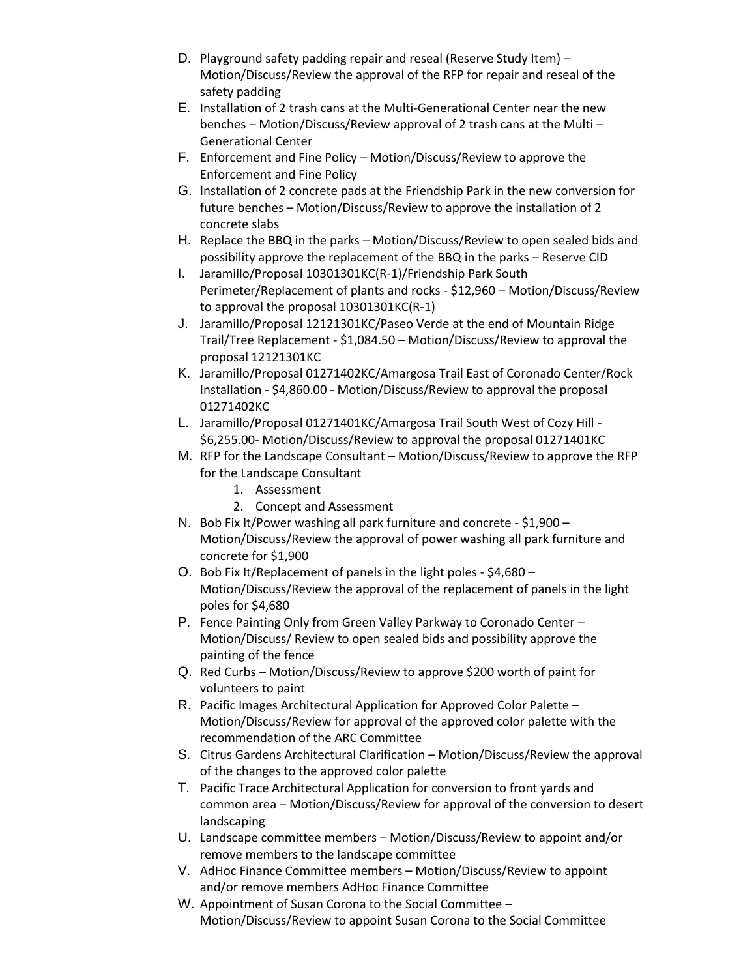- D. Playground safety padding repair and reseal (Reserve Study Item) Motion/Discuss/Review the approval of the RFP for repair and reseal of the safety padding
- E. Installation of 2 trash cans at the Multi-Generational Center near the new benches – Motion/Discuss/Review approval of 2 trash cans at the Multi – Generational Center
- F. Enforcement and Fine Policy Motion/Discuss/Review to approve the Enforcement and Fine Policy
- G. Installation of 2 concrete pads at the Friendship Park in the new conversion for future benches – Motion/Discuss/Review to approve the installation of 2 concrete slabs
- H. Replace the BBQ in the parks Motion/Discuss/Review to open sealed bids and possibility approve the replacement of the BBQ in the parks – Reserve CID
- I. Jaramillo/Proposal 10301301KC(R-1)/Friendship Park South Perimeter/Replacement of plants and rocks - \$12,960 – Motion/Discuss/Review to approval the proposal 10301301KC(R-1)
- J. Jaramillo/Proposal 12121301KC/Paseo Verde at the end of Mountain Ridge Trail/Tree Replacement - \$1,084.50 – Motion/Discuss/Review to approval the proposal 12121301KC
- K. Jaramillo/Proposal 01271402KC/Amargosa Trail East of Coronado Center/Rock Installation - \$4,860.00 - Motion/Discuss/Review to approval the proposal 01271402KC
- L. Jaramillo/Proposal 01271401KC/Amargosa Trail South West of Cozy Hill \$6,255.00- Motion/Discuss/Review to approval the proposal 01271401KC
- M. RFP for the Landscape Consultant Motion/Discuss/Review to approve the RFP for the Landscape Consultant
	- 1. Assessment
	- 2. Concept and Assessment
- N. Bob Fix It/Power washing all park furniture and concrete \$1,900 Motion/Discuss/Review the approval of power washing all park furniture and concrete for \$1,900
- O. Bob Fix It/Replacement of panels in the light poles \$4,680 Motion/Discuss/Review the approval of the replacement of panels in the light poles for \$4,680
- P. Fence Painting Only from Green Valley Parkway to Coronado Center Motion/Discuss/ Review to open sealed bids and possibility approve the painting of the fence
- Q. Red Curbs Motion/Discuss/Review to approve \$200 worth of paint for volunteers to paint
- R. Pacific Images Architectural Application for Approved Color Palette Motion/Discuss/Review for approval of the approved color palette with the recommendation of the ARC Committee
- S. Citrus Gardens Architectural Clarification Motion/Discuss/Review the approval of the changes to the approved color palette
- T. Pacific Trace Architectural Application for conversion to front yards and common area – Motion/Discuss/Review for approval of the conversion to desert landscaping
- U. Landscape committee members Motion/Discuss/Review to appoint and/or remove members to the landscape committee
- V. AdHoc Finance Committee members Motion/Discuss/Review to appoint and/or remove members AdHoc Finance Committee
- W. Appointment of Susan Corona to the Social Committee Motion/Discuss/Review to appoint Susan Corona to the Social Committee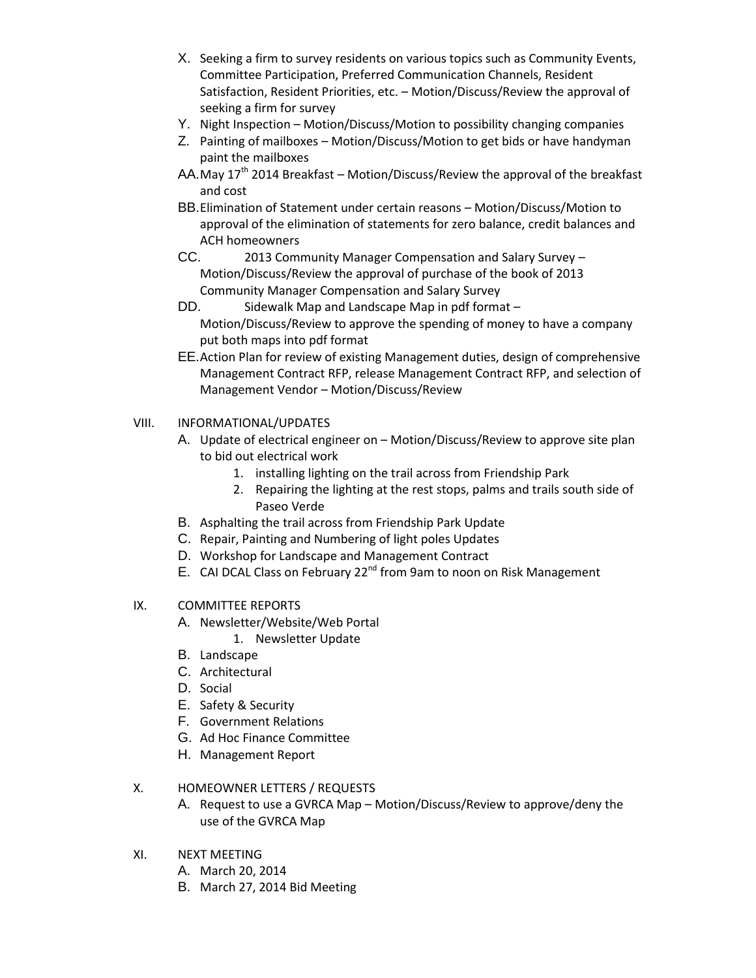- X. Seeking a firm to survey residents on various topics such as Community Events, Committee Participation, Preferred Communication Channels, Resident Satisfaction, Resident Priorities, etc. – Motion/Discuss/Review the approval of seeking a firm for survey
- Y. Night Inspection Motion/Discuss/Motion to possibility changing companies
- Z. Painting of mailboxes Motion/Discuss/Motion to get bids or have handyman paint the mailboxes
- AA.May  $17<sup>th</sup>$  2014 Breakfast Motion/Discuss/Review the approval of the breakfast and cost
- BB.Elimination of Statement under certain reasons Motion/Discuss/Motion to approval of the elimination of statements for zero balance, credit balances and ACH homeowners
- CC. 2013 Community Manager Compensation and Salary Survey Motion/Discuss/Review the approval of purchase of the book of 2013 Community Manager Compensation and Salary Survey
- DD. Sidewalk Map and Landscape Map in pdf format Motion/Discuss/Review to approve the spending of money to have a company put both maps into pdf format
- EE.Action Plan for review of existing Management duties, design of comprehensive Management Contract RFP, release Management Contract RFP, and selection of Management Vendor – Motion/Discuss/Review

## VIII. INFORMATIONAL/UPDATES

- A. Update of electrical engineer on Motion/Discuss/Review to approve site plan to bid out electrical work
	- 1. installing lighting on the trail across from Friendship Park
	- 2. Repairing the lighting at the rest stops, palms and trails south side of Paseo Verde
- B. Asphalting the trail across from Friendship Park Update
- C. Repair, Painting and Numbering of light poles Updates
- D. Workshop for Landscape and Management Contract
- E. CAI DCAL Class on February 22<sup>nd</sup> from 9am to noon on Risk Management

## IX. COMMITTEE REPORTS

- A. Newsletter/Website/Web Portal
	- 1. Newsletter Update
- B. Landscape
- C. Architectural
- D. Social
- E. Safety & Security
- F. Government Relations
- G. Ad Hoc Finance Committee
- H. Management Report

# X. HOMEOWNER LETTERS / REQUESTS

- A. Request to use a GVRCA Map Motion/Discuss/Review to approve/deny the use of the GVRCA Map
- XI. NEXT MEETING
	- A. March 20, 2014
	- B. March 27, 2014 Bid Meeting